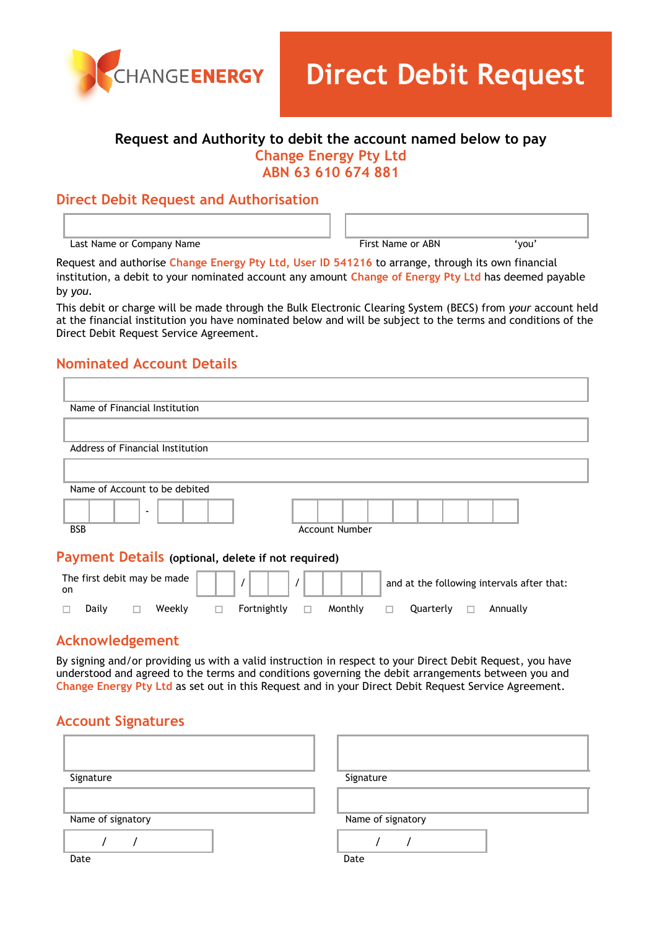

# **Request and Authority to debit the account named below to pay Change Energy Pty Ltd ABN 63 610 674 881**

## **Direct Debit Request and Authorisation**

Last Name or Company Name  $\qquad \qquad$  First Name or ABN  $\qquad \qquad$  'you'

Request and authorise **Change Energy Pty Ltd, User ID 541216** to arrange, through its own financial institution, a debit to your nominated account any amount **Change of Energy Pty Ltd** has deemed payable by *you.*

This debit or charge will be made through the Bulk Electronic Clearing System (BECS) from *your* account held at the financial institution you have nominated below and will be subject to the terms and conditions of the Direct Debit Request Service Agreement.

# **Nominated Account Details**

| Name of Financial Institution                      |                                            |  |
|----------------------------------------------------|--------------------------------------------|--|
|                                                    |                                            |  |
| Address of Financial Institution                   |                                            |  |
|                                                    |                                            |  |
| Name of Account to be debited                      |                                            |  |
| $\overline{\phantom{a}}$                           |                                            |  |
| <b>BSB</b>                                         | <b>Account Number</b>                      |  |
| Payment Details (optional, delete if not required) |                                            |  |
| The first debit may be made<br>on.                 | and at the following intervals after that: |  |
| Weekly<br>Fortnightly<br>Daily<br>⊔                | Monthly<br>Quarterly<br>Annually<br>ш<br>ш |  |

## **Acknowledgement**

By signing and/or providing us with a valid instruction in respect to your Direct Debit Request, you have understood and agreed to the terms and conditions governing the debit arrangements between you and **Change Energy Pty Ltd** as set out in this Request and in your Direct Debit Request Service Agreement.

## **Account Signatures**

| Signature         | Signature         |
|-------------------|-------------------|
|                   |                   |
| Name of signatory | Name of signatory |
|                   |                   |
| Date              | Date              |